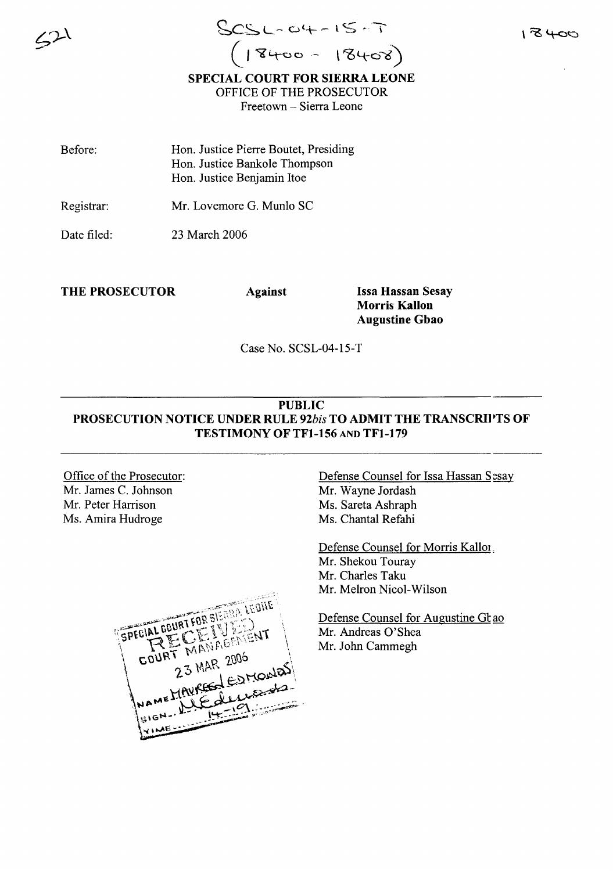



Before: Hon. Justice Pierre Boutet, Presiding Hon. Justice Bankole Thompson Hon. Justice Benjamin Itoe

Registrar: Mr. Lovemore G. Munlo SC

Date filed: 23 March 2006

THE PROSECUTOR Against Issa Hassan Sesay

**Morris Kallon** Augustine Gbao

Case No. SCSL-04-15-T

# PUBLIC PROSECUTION NOTICE UNDER RULE 92bis TO ADMIT THE TRANSCRIPTS OF TESTIMONY OF TFl-156 AND TFl-179

Office of the Prosecutor: Mr. James C. Johnson Mr. Peter Harrison Ms. Amira Hudroge



Defense Counsel for Issa Hassan Sesay Mr. Wayne Jordash Ms. Sareta Ashraph Ms. Chantal Refahi

Defense Counsel for Morris Kallor Mr. Shekou Touray Mr. Charles Taku Mr. Melron Nicol-Wilson

Defense Counsel for Augustine Gr ao Mr. Andreas O'Shea Mr. John Cammegh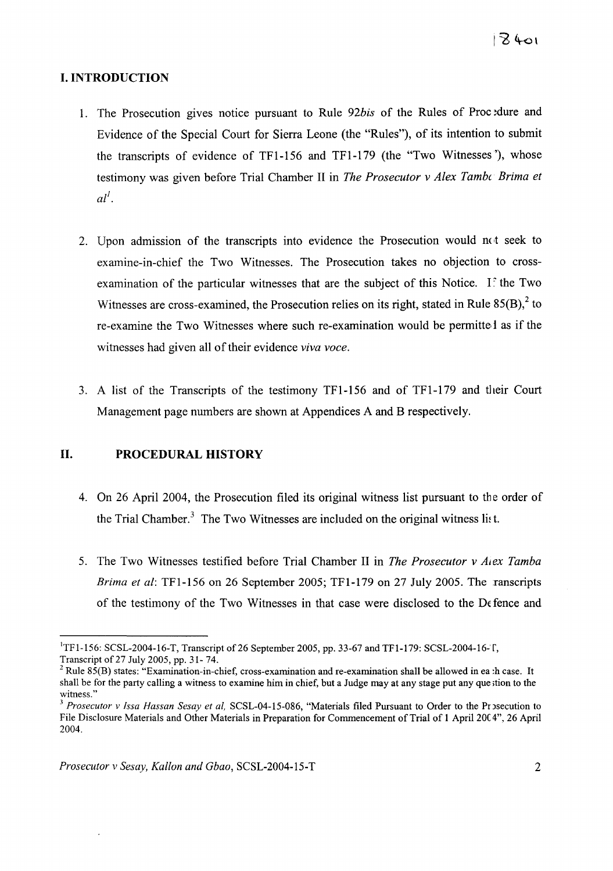# **I. INTRODUCTION**

- 1. The Prosecution gives notice pursuant to Rule 92bis of the Rules of Proc edure and Evidence of the Special Court for Sierra Leone (the "Rules"), of its intention to submit the transcripts of evidence of TFl-156 and TFl-179 (the "Two Witnesses'), whose testimony was given before Trial Chamber II in *The Prosecutor* v *Alex Tambc Brima et all.*
- 2. Upon admission of the transcripts into evidence the Prosecution would not seek to examine-in-chief the Two Witnesses. The Prosecution takes no objection to crossexamination of the particular witnesses that are the subject of this Notice. If the Two Witnesses are cross-examined, the Prosecution relies on its right, stated in Rule  $85(B)$ , to re-examine the Two Witnesses where such re-examination would be permitte I as if the witnesses had given all of their evidence *viva voce*.
- 3. A list of the Transcripts of the testimony TFl-156 and of TFl-179 and their Court Management page numbers are shown at Appendices A and B respectively.

#### **II. PROCEDURAL HISTORY**

- 4. On 26 April 2004, the Prosecution filed its original witness list pursuant to the order of the Trial Chamber.<sup>3</sup> The Two Witnesses are included on the original witness list.
- 5. The Two Witnesses testified before Trial Chamber II in *The Prosecutor* v *Alex Tamba Brima et al:* TFl-156 on 26 September 2005; TFl-179 on 27 July 2005. The ranscripts of the testimony of the Two Witnesses in that case were disclosed to the Defence and

<sup>&</sup>lt;sup>1</sup>TF1-156: SCSL-2004-16-T, Transcript of 26 September 2005, pp. 33-67 and TF1-179: SCSL-2004-16-T, Transcript of 27 July 2005, pp. 31- 74.

 $2$  Rule 85(B) states: "Examination-in-chief, cross-examination and re-examination shall be allowed in ea :h case. It shall be for the party calling a witness to examine him in chief, but a Judge may at any stage put any que ;tion to the witness."

<sup>&</sup>lt;sup>3</sup> Prosecutor *v Issa Hassan Sesay et al, SCSL-04-15-086*, "Materials filed Pursuant to Order to the Prosecution to File Disclosure Materials and Other Materials in Preparation for Commencement of Trial of 1 April 2004", 26 April 2004.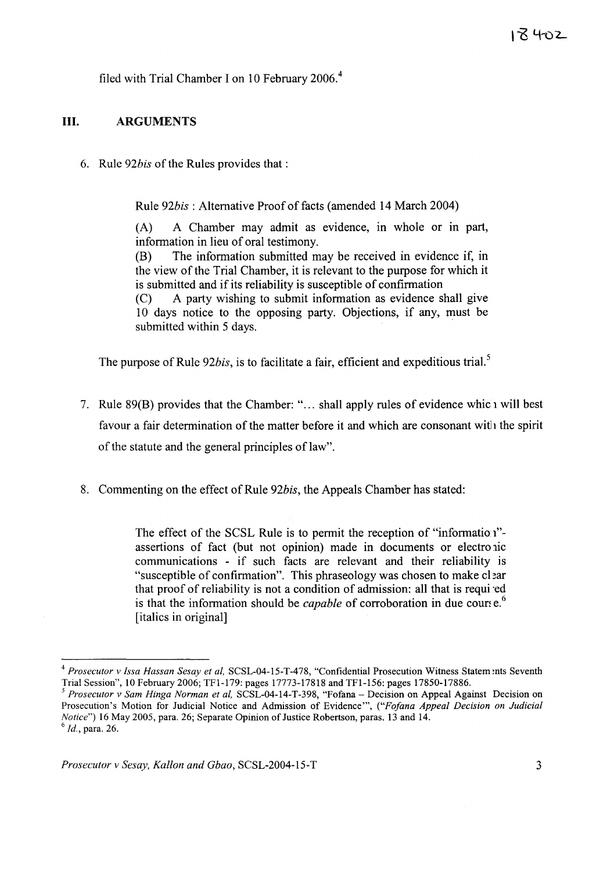filed with Trial Chamber I on 10 February 2006.<sup>4</sup>

# **III. ARGUMENTS**

6. Rule 92*bis* of the Rules provides that:

Rule *92bis* : Alternative Proof offacts (amended 14 March 2004)

(A) A Chamber may admit as evidence, in whole or in part, information in lieu of oral testimony.

(B) The information submitted may be received in evidence if, in the view of the Trial Chamber, it is relevant to the purpose for which it is submitted and if its reliability is susceptible of confirmation

(C) A party wishing to submit information as evidence shall give 10 days notice to the opposing party. Objections, if any, must be submitted within 5 days.

The purpose of Rule 92*bis*, is to facilitate a fair, efficient and expeditious trial.<sup>5</sup>

- 7. Rule 89(B) provides that the Chamber: "... shall apply rules of evidence which will best favour a fair determination of the matter before it and which are consonant with the spirit of the statute and the general principles of law".
- 8. Commenting on the effect of Rule 92bis, the Appeals Chamber has stated:

The effect of the SCSL Rule is to permit the reception of "information"assertions of fact (but not opinion) made in documents or electro ic communications - if such facts are relevant and their reliability is "susceptible of confirmation". This phraseology was chosen to make clear that proof of reliability is not a condition of admission: all that is required is that the information should be *capable* of corroboration in due course.<sup>6</sup> [italics in original]

<sup>&</sup>lt;sup>4</sup> Prosecutor v Issa Hassan Sesay et al. SCSL-04-15-T-478, "Confidential Prosecution Witness Statements Seventh Trial Session", 10 February 2006; TFI-179: pages 17773-17818 and TFI-156: pages 17850-17886.

<sup>5</sup> *Prosecutor* v *Sam Hinga Norman et aI,* SCSL-04-14-T-398, "Fofana - Decision on Appeal Against Decision on Prosecution's Motion for Judicial Notice and Admission of Evidence''', *("Fofana Appeal Decision on Judicial Notice"*) 16 May 2005, para. 26; Separate Opinion of Justice Robertson, paras. 13 and 14. <sup>6</sup> *Id.,* para. 26.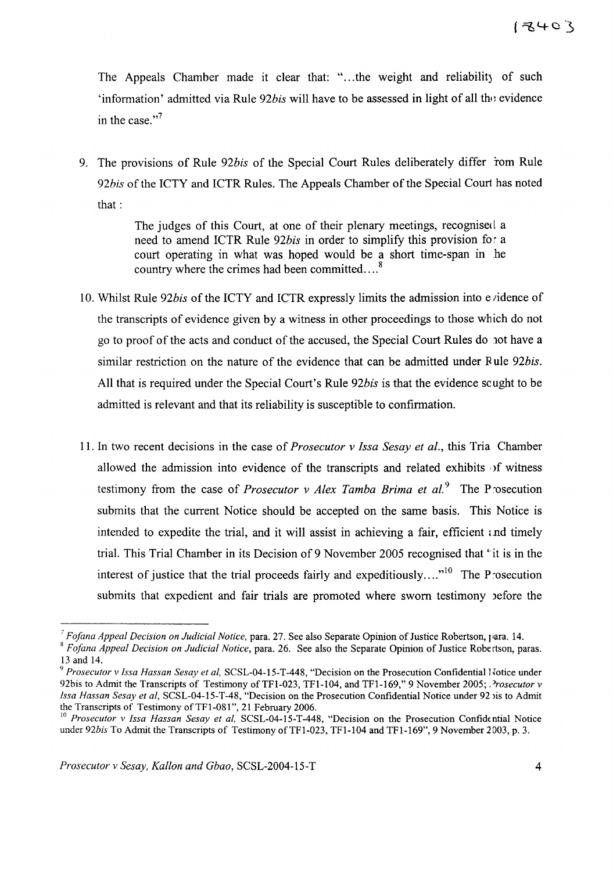The Appeals Chamber made it clear that: "...the weight and reliability of such 'information' admitted via Rule  $92bis$  will have to be assessed in light of all the evidence in the case." $7$ 

9. The provisions of Rule 92bis of the Special Court Rules deliberately differ from Rule 92bis of the ICTY and ICTR Rules. The Appeals Chamber of the Special Court has noted that:

> The judges of this Court, at one of their plenary meetings, recognised a need to amend ICTR Rule 92bis in order to simplify this provision for a court operating in what was hoped would be a short time-span in he country where the crimes had been committed... $^8$

- 10. Whilst Rule 92bis of the ICTY and ICTR expressly limits the admission into e *i*dence of the transcripts of evidence given by a witness in other proceedings to those which do not go to proof of the acts and conduct of the accused, the Special Court Rules do not have a similar restriction on the nature of the evidence that can be admitted under Rule *92bis.* All that is required under the Special Court's Rule *92bis* is that the evidence scught to be admitted is relevant and that its reliability is susceptible to confirmation.
- 11. **In** two recent decisions in the case of *Prosecutor* v *Issa Sesay et al.,* this Tria Chamber allowed the admission into evidence of the transcripts and related exhibits of witness testimony from the case of *Prosecutor* v *Alex Tamba Brima et al.*<sup>9</sup> The P rosecution submits that the current Notice should be accepted on the same basis. This Notice is intended to expedite the trial, and it will assist in achieving a fair, efficient and timely trial. This Trial Chamber in its Decision of 9 November 2005 recognised that "it is in the interest of justice that the trial proceeds fairly and expeditiously....<sup> $10$ </sup> The P rosecution submits that expedient and fair trials are promoted where sworn testimony before the

<sup>&</sup>lt;sup>7</sup> *Fofana Appeal Decision on Judicial Notice, para. 27. See also Separate Opinion of Justice Robertson, <sub>1</sub> ara. 14.* 

<sup>&</sup>lt;sup>8</sup> Fofana Appeal Decision on Judicial Notice, para. 26. See also the Separate Opinion of Justice Robertson, paras. 13 and 14.

<sup>9</sup> *Prosecutor v Issa Hassan Sesay et aI,* SCSL-04-l5-T-448, "Decision on the Prosecution Confidential Hotice under 92bis to Admit the Transcripts of Testimony of TF1-023, TF1-104, and TF1-169," 9 November 2005; *Prosecutor v Issa Hassan Sesay et aI,* SCSL-04-l5-T-48, "Decision on the Prosecution Confidential Notice under 92 >is to Admit the Transcripts of Testimony of TF1-081", 21 February 2006.

<sup>10</sup> *Prosecutor v Issa Hassan Sesay et aI,* SCSL-04-l5-T-448, "Decision on the Prosecution Confide ntial Notice under 92bis To Admit the Transcripts of Testimony of TF1-023, TF1-104 and TF1-169", 9 November 2003, p. 3.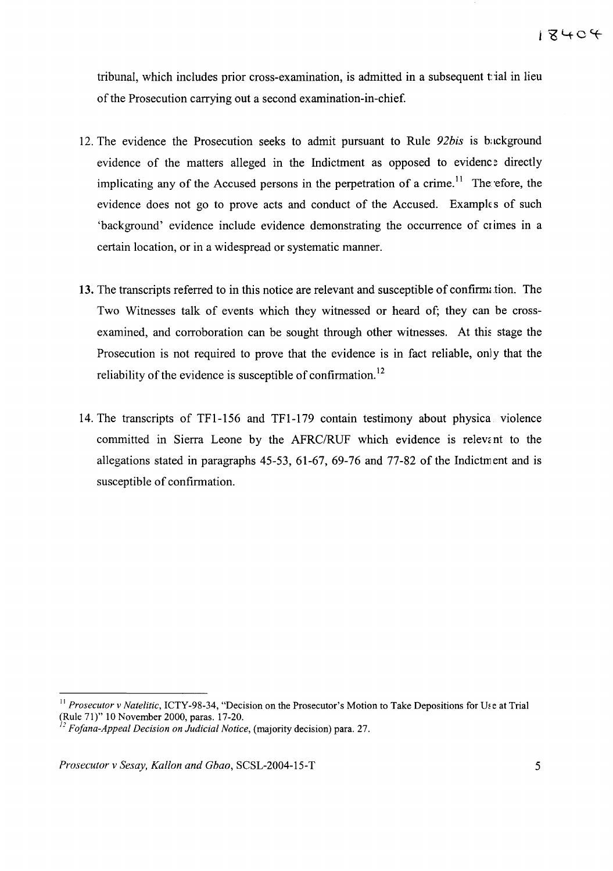tribunal, which includes prior cross-examination, is admitted in a subsequent t ial in lieu of the Prosecution carrying out a second examination-in-chief.

- 12. The evidence the Prosecution seeks to admit pursuant to Rule *92bis* is background evidence of the matters alleged in the Indictment as opposed to evidence directly implicating any of the Accused persons in the perpetration of a crime.<sup>11</sup> The efore, the evidence does not go to prove acts and conduct of the Accused. Examples of such 'background' evidence include evidence demonstrating the occurrence of crimes in a certain location, or in a widespread or systematic manner.
- **13.** The transcripts referred to in this notice are relevant and susceptible of confirm: tion. The Two Witnesses talk of events which they witnessed or heard of; they can be crossexamined, and corroboration can be sought through other witnesses. At this stage the Prosecution is not required to prove that the evidence is in fact reliable, only that the reliability of the evidence is susceptible of confirmation.<sup>12</sup>
- 14. The transcripts of TFl-156 and TFl-179 contain testimony about physica violence committed in Sierra Leone by the AFRC/RUF which evidence is relevant to the allegations stated in paragraphs 45-53,  $61-67$ ,  $69-76$  and  $77-82$  of the Indictment and is susceptible of confirmation.

<sup>&</sup>lt;sup>11</sup> Prosecutor *v Natelitic*, ICTY-98-34, "Decision on the Prosecutor's Motion to Take Depositions for Use at Trial (Rule 71)" 10 November 2000, paras. 17-20.

*<sup>12</sup> Fofana-Appeal Decision on Judicial Notice,* (majority decision) para. 27.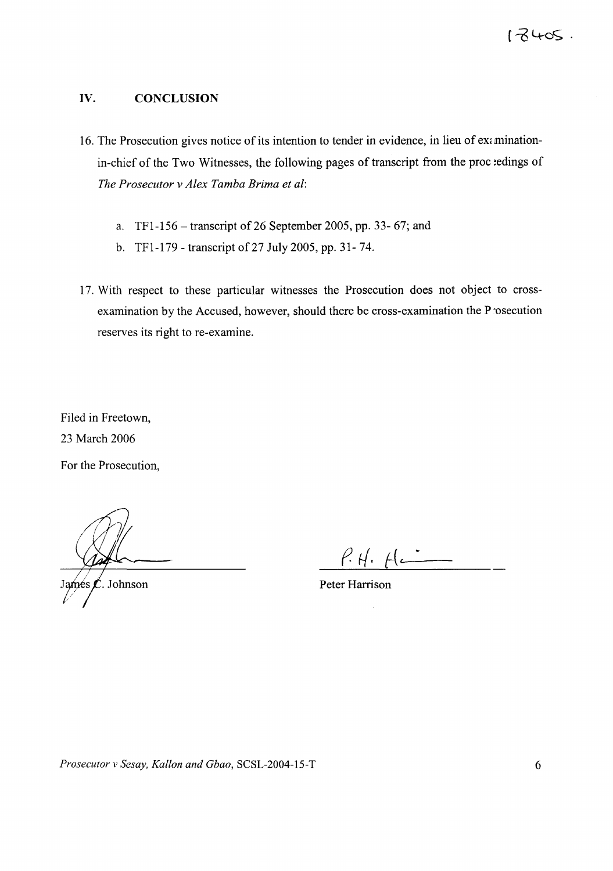# **IV. CONCLUSION**

- 16. The Prosecution gives notice of its intention to tender in evidence, in lieu of examinationin-chief of the Two Witnesses, the following pages of transcript from the proc edings of *The Prosecutor* v *Alex Tamba Brima et al:*
	- a. TF1-156 transcript of 26 September 2005, pp. 33- 67; and
	- b. TFl-179 transcript of 27 July 2005, pp. 31- 74.
- 17. With respect to these particular witnesses the Prosecution does not object to crossexamination by the Accused, however, should there be cross-examination the P ·osecution reserves its right to re-examine.

Filed in Freetown, 23 March 2006

For the Prosecution,

 $\mathbf{\mathscr{L}}$ . Johnson

 $P.H. H.$ 

Peter Harrison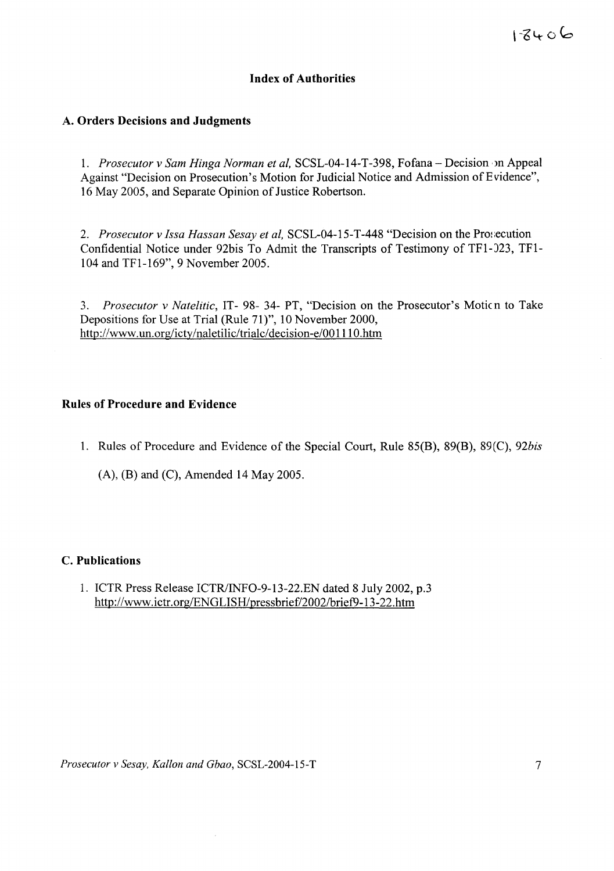# **Index of Authorities**

#### **A. Orders Decisions and Judgments**

*1. Prosecutor* v *Sam Hinga Norman et aI,* SCSL-04-14-T-398, Fofana - Decision, m Appeal Against "Decision on Prosecution's Motion for Judicial Notice and Admission of Evidence", 16 May 2005, and Separate Opinion of Justice Robertson.

*2. Prosecutor* v *Issa Hassan Sesay et aI,* SCSL-04-l5-T-448 "Decision on the Pro: :ecution Confidential Notice under 92bis To Admit the Transcripts of Testimony of TFl-)23, TFl-104 and TFl-169", 9 November 2005.

3. *Prosecutor v Natelitic*, IT- 98- 34- PT, "Decision on the Prosecutor's Moticn to Take Depositions for Use at Trial (Rule 71)", 10 November 2000, http://www.un.org/icty/naletilic/trialc/decision-e/001110.htm

### **Rules of Procedure and Evidence**

1. Rules of Procedure and Evidence of the Special Court, Rule 85(B), 89(B), 89 (C), *92bis*

(A), (B) and (C), Amended 14 May 2005.

#### C. **Publications**

1. ICTR Press Release ICTR/INFO-9-13-22.EN dated 8 July 2002, p.3 http://www.ictr.org/ENGLISH/pressbrief/2002/brief9-13-22.htm

*Prosecutor v Sesay, Kallon and Gbao,* SCSL-2004-15-T 7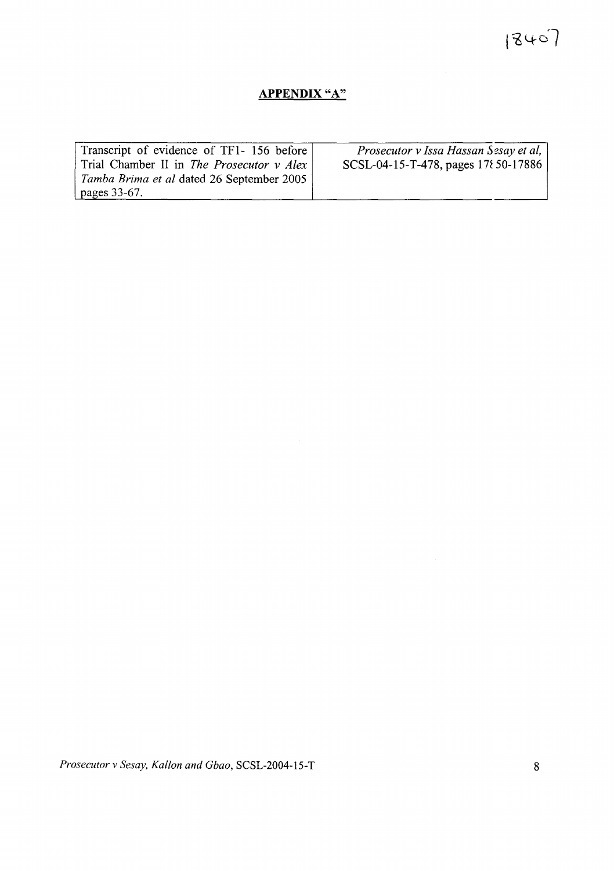# **APPENDIX** "A"

| Transcript of evidence of TF1-156 before  | Prosecutor v Issa Hassan Sesay et al, |
|-------------------------------------------|---------------------------------------|
| Trial Chamber II in The Prosecutor v Alex | SCSL-04-15-T-478, pages 178 50-17886  |
| Tamba Brima et al dated 26 September 2005 |                                       |
| pages 33-67.                              |                                       |

*Prosecutor* v *Sesay, Kallon and Gbao,* SCSL-2004-15-T